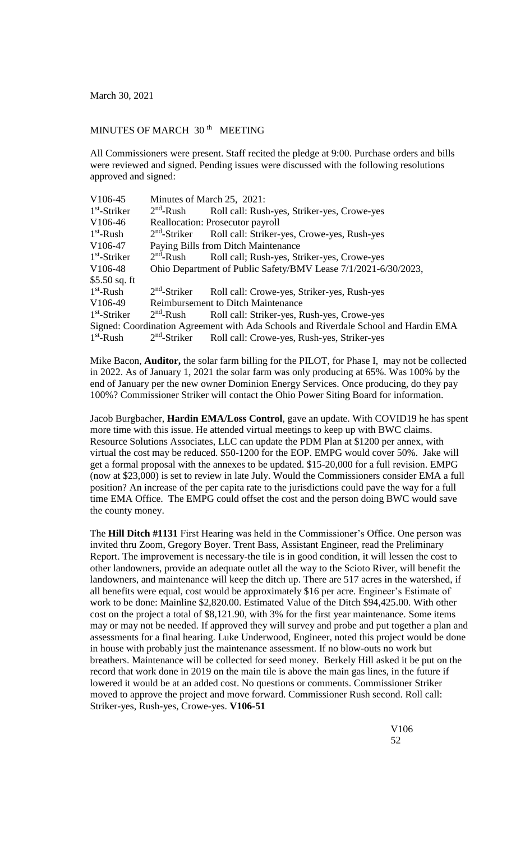## MINUTES OF MARCH 30<sup>th</sup> MEETING

All Commissioners were present. Staff recited the pledge at 9:00. Purchase orders and bills were reviewed and signed. Pending issues were discussed with the following resolutions approved and signed:

| V106-45              | Minutes of March 25, 2021:                                     |                                                                                     |
|----------------------|----------------------------------------------------------------|-------------------------------------------------------------------------------------|
| $1st$ -Striker       | $2nd$ -Rush                                                    | Roll call: Rush-yes, Striker-yes, Crowe-yes                                         |
| V <sub>106</sub> -46 | Reallocation: Prosecutor payroll                               |                                                                                     |
| $1st$ -Rush          |                                                                | 2 <sup>nd</sup> -Striker Roll call: Striker-yes, Crowe-yes, Rush-yes                |
| V106-47              | Paying Bills from Ditch Maintenance                            |                                                                                     |
| $1st$ -Striker       | $2nd$ -Rush                                                    | Roll call; Rush-yes, Striker-yes, Crowe-yes                                         |
| V106-48              | Ohio Department of Public Safety/BMV Lease 7/1/2021-6/30/2023, |                                                                                     |
| \$5.50 sq. ft        |                                                                |                                                                                     |
| $1st$ -Rush          | $2nd$ -Striker                                                 | Roll call: Crowe-yes, Striker-yes, Rush-yes                                         |
| V106-49              | <b>Reimbursement to Ditch Maintenance</b>                      |                                                                                     |
| $1st$ -Striker       | $2nd$ -Rush                                                    | Roll call: Striker-yes, Rush-yes, Crowe-yes                                         |
|                      |                                                                | Signed: Coordination Agreement with Ada Schools and Riverdale School and Hardin EMA |
| $1st$ -Rush          | $2nd$ -Striker                                                 | Roll call: Crowe-yes, Rush-yes, Striker-yes                                         |

Mike Bacon, **Auditor,** the solar farm billing for the PILOT, for Phase I, may not be collected in 2022. As of January 1, 2021 the solar farm was only producing at 65%. Was 100% by the end of January per the new owner Dominion Energy Services. Once producing, do they pay 100%? Commissioner Striker will contact the Ohio Power Siting Board for information.

Jacob Burgbacher, **Hardin EMA/Loss Control**, gave an update. With COVID19 he has spent more time with this issue. He attended virtual meetings to keep up with BWC claims. Resource Solutions Associates, LLC can update the PDM Plan at \$1200 per annex, with virtual the cost may be reduced. \$50-1200 for the EOP. EMPG would cover 50%. Jake will get a formal proposal with the annexes to be updated. \$15-20,000 for a full revision. EMPG (now at \$23,000) is set to review in late July. Would the Commissioners consider EMA a full position? An increase of the per capita rate to the jurisdictions could pave the way for a full time EMA Office. The EMPG could offset the cost and the person doing BWC would save the county money.

The **Hill Ditch #1131** First Hearing was held in the Commissioner's Office. One person was invited thru Zoom, Gregory Boyer. Trent Bass, Assistant Engineer, read the Preliminary Report. The improvement is necessary-the tile is in good condition, it will lessen the cost to other landowners, provide an adequate outlet all the way to the Scioto River, will benefit the landowners, and maintenance will keep the ditch up. There are 517 acres in the watershed, if all benefits were equal, cost would be approximately \$16 per acre. Engineer's Estimate of work to be done: Mainline \$2,820.00. Estimated Value of the Ditch \$94,425.00. With other cost on the project a total of \$8,121.90, with 3% for the first year maintenance. Some items may or may not be needed. If approved they will survey and probe and put together a plan and assessments for a final hearing. Luke Underwood, Engineer, noted this project would be done in house with probably just the maintenance assessment. If no blow-outs no work but breathers. Maintenance will be collected for seed money. Berkely Hill asked it be put on the record that work done in 2019 on the main tile is above the main gas lines, in the future if lowered it would be at an added cost. No questions or comments. Commissioner Striker moved to approve the project and move forward. Commissioner Rush second. Roll call: Striker-yes, Rush-yes, Crowe-yes. **V106-51**